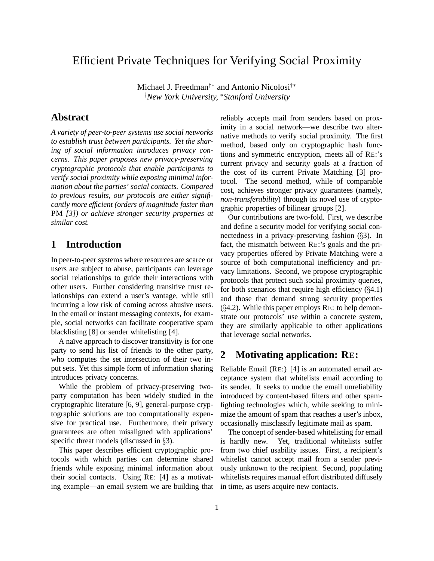# Efficient Private Techniques for Verifying Social Proximity

Michael J. Freedman†∗ and Antonio Nicolosi†∗ †*New York University,* <sup>∗</sup>*Stanford University*

### **Abstract**

*A variety of peer-to-peer systems use social networks to establish trust between participants. Yet the sharing of social information introduces privacy concerns. This paper proposes new privacy-preserving cryptographic protocols that enable participants to verify social proximity while exposing minimal information about the parties' social contacts. Compared to previous results, our protocols are either significantly more efficient (orders of magnitude faster than* PM *[3]) or achieve stronger security properties at similar cost.*

### **1 Introduction**

In peer-to-peer systems where resources are scarce or users are subject to abuse, participants can leverage social relationships to guide their interactions with other users. Further considering transitive trust relationships can extend a user's vantage, while still incurring a low risk of coming across abusive users. In the email or instant messaging contexts, for example, social networks can facilitate cooperative spam blacklisting [8] or sender whitelisting [4].

A naïve approach to discover transitivity is for one party to send his list of friends to the other party, who computes the set intersection of their two input sets. Yet this simple form of information sharing introduces privacy concerns.

While the problem of privacy-preserving twoparty computation has been widely studied in the cryptographic literature [6, 9], general-purpose cryptographic solutions are too computationally expensive for practical use. Furthermore, their privacy guarantees are often misaligned with applications' specific threat models (discussed in §3).

This paper describes efficient cryptographic protocols with which parties can determine shared friends while exposing minimal information about their social contacts. Using RE: [4] as a motivating example—an email system we are building that reliably accepts mail from senders based on proximity in a social network—we describe two alternative methods to verify social proximity. The first method, based only on cryptographic hash functions and symmetric encryption, meets all of RE:'s current privacy and security goals at a fraction of the cost of its current Private Matching [3] protocol. The second method, while of comparable cost, achieves stronger privacy guarantees (namely, *non-transferability*) through its novel use of cryptographic properties of bilinear groups [2].

Our contributions are two-fold. First, we describe and define a security model for verifying social connectedness in a privacy-preserving fashion (§3). In fact, the mismatch between RE:'s goals and the privacy properties offered by Private Matching were a source of both computational inefficiency and privacy limitations. Second, we propose cryptographic protocols that protect such social proximity queries, for both scenarios that require high efficiency  $(\S4.1)$ and those that demand strong security properties (§4.2). While this paper employs RE: to help demonstrate our protocols' use within a concrete system, they are similarly applicable to other applications that leverage social networks.

## **2 Motivating application: RE:**

Reliable Email (RE:) [4] is an automated email acceptance system that whitelists email according to its sender. It seeks to undue the email unreliability introduced by content-based filters and other spamfighting technologies which, while seeking to minimize the amount of spam that reaches a user's inbox, occasionally misclassify legitimate mail as spam.

The concept of sender-based whitelisting for email is hardly new. Yet, traditional whitelists suffer from two chief usability issues. First, a recipient's whitelist cannot accept mail from a sender previously unknown to the recipient. Second, populating whitelists requires manual effort distributed diffusely in time, as users acquire new contacts.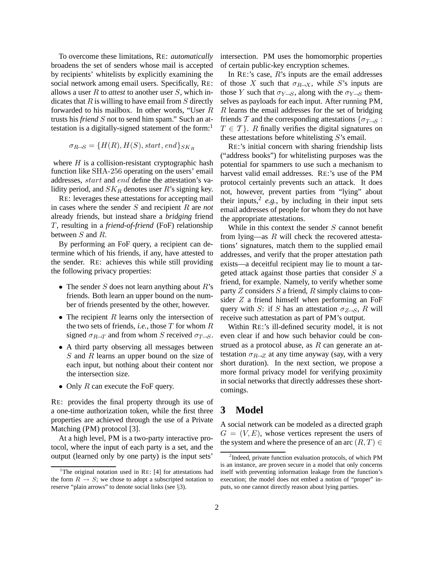To overcome these limitations, RE: *automatically* broadens the set of senders whose mail is accepted by recipients' whitelists by explicitly examining the social network among email users. Specifically, RE: allows a user R to *attest* to another user S, which indicates that  $R$  is willing to have email from  $S$  directly forwarded to his mailbox. In other words, "User R trusts his *friend* S not to send him spam." Such an attestation is a digitally-signed statement of the form:<sup>1</sup>

$$
\sigma_{R\rightarrow S} = \{H(R), H(S), start, end\}_{SK_R}
$$

where  $H$  is a collision-resistant cryptographic hash function like SHA-256 operating on the users' email addresses, start and end define the attestation's validity period, and  $SK_R$  denotes user R's signing key.

RE: leverages these attestations for accepting mail in cases where the sender S and recipient R are *not* already friends, but instead share a *bridging* friend T, resulting in a *friend-of-friend* (FoF) relationship between S and R.

By performing an FoF query, a recipient can determine which of his friends, if any, have attested to the sender. RE: achieves this while still providing the following privacy properties:

- The sender  $S$  does not learn anything about  $R$ 's friends. Both learn an upper bound on the number of friends presented by the other, however.
- The recipient  $R$  learns only the intersection of the two sets of friends, *i.e.*, those  $T$  for whom  $R$ signed  $\sigma_{R\rightarrow T}$  and from whom S received  $\sigma_{T\rightarrow S}$ .
- A third party observing all messages between S and R learns an upper bound on the size of each input, but nothing about their content nor the intersection size.
- Only  $R$  can execute the FoF query.

RE: provides the final property through its use of a one-time authorization token, while the first three properties are achieved through the use of a Private Matching (PM) protocol [3].

At a high level, PM is a two-party interactive protocol, where the input of each party is a set, and the output (learned only by one party) is the input sets'

intersection. PM uses the homomorphic properties of certain public-key encryption schemes.

In RE:'s case,  $R$ 's inputs are the email addresses of those X such that  $\sigma_{R\rightarrow X}$ , while S's inputs are those Y such that  $\sigma_{Y\rightarrow S}$ , along with the  $\sigma_{Y\rightarrow S}$  themselves as payloads for each input. After running PM, R learns the email addresses for the set of bridging friends T and the corresponding attestations { $\sigma_{T\rightarrow S}$ :  $T \in \mathcal{T}$ . R finally verifies the digital signatures on these attestations before whitelisting  $S$ 's email.

RE:'s initial concern with sharing friendship lists ("address books") for whitelisting purposes was the potential for spammers to use such a mechanism to harvest valid email addresses. RE:'s use of the PM protocol certainly prevents such an attack. It does not, however, prevent parties from "lying" about their inputs,  $\frac{2}{e}$ , by including in their input sets email addresses of people for whom they do not have the appropriate attestations.

While in this context the sender  $S$  cannot benefit from lying—as  $R$  will check the recovered attestations' signatures, match them to the supplied email addresses, and verify that the proper attestation path exists—a deceitful recipient may lie to mount a targeted attack against those parties that consider  $S$  a friend, for example. Namely, to verify whether some party  $Z$  considers  $S$  a friend,  $R$  simply claims to consider Z a friend himself when performing an FoF query with S: if S has an attestation  $\sigma_{Z\rightarrow S}$ , R will receive such attestation as part of PM's output.

Within RE:'s ill-defined security model, it is not even clear if and how such behavior could be construed as a protocol abuse, as  $R$  can generate an attestation  $\sigma_{R\rightarrow Z}$  at any time anyway (say, with a very short duration). In the next section, we propose a more formal privacy model for verifying proximity in social networks that directly addresses these shortcomings.

### **3 Model**

A social network can be modeled as a directed graph  $G = (V, E)$ , whose vertices represent the users of the system and where the presence of an arc  $(R, T) \in$ 

<sup>&</sup>lt;sup>1</sup>The original notation used in RE: [4] for attestations had the form  $R \rightarrow S$ ; we chose to adopt a subscripted notation to reserve "plain arrows" to denote social links (see §3).

<sup>&</sup>lt;sup>2</sup>Indeed, private function evaluation protocols, of which PM is an instance, are proven secure in a model that only concerns itself with preventing information leakage from the function's execution; the model does not embed a notion of "proper" inputs, so one cannot directly reason about lying parties.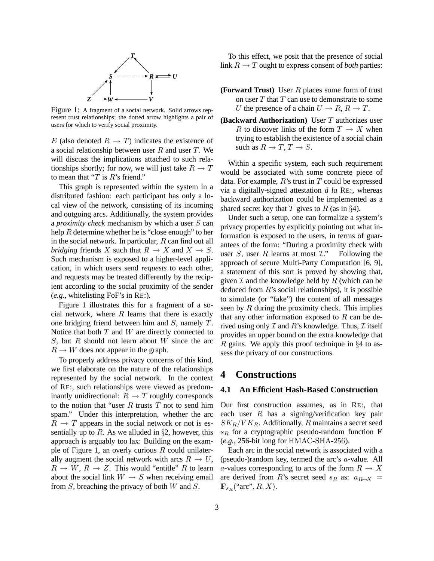

Figure 1: A fragment of a social network. Solid arrows represent trust relationships; the dotted arrow highlights a pair of users for which to verify social proximity.

E (also denoted  $R \to T$ ) indicates the existence of a social relationship between user  $R$  and user  $T$ . We will discuss the implications attached to such relationships shortly; for now, we will just take  $R \to T$ to mean that " $T$  is  $R$ 's friend."

This graph is represented within the system in a distributed fashion: each participant has only a local view of the network, consisting of its incoming and outgoing arcs. Additionally, the system provides a *proximity check* mechanism by which a user S can help  $R$  determine whether he is "close enough" to her in the social network. In particular,  $R$  can find out all *bridging* friends X such that  $R \to X$  and  $X \to S$ . Such mechanism is exposed to a higher-level application, in which users send *requests* to each other, and requests may be treated differently by the recipient according to the social proximity of the sender (*e.g.*, whitelisting FoF's in RE:).

Figure 1 illustrates this for a fragment of a social network, where  $R$  learns that there is exactly one bridging friend between him and S, namely T. Notice that both  $T$  and  $W$  are directly connected to S, but R should not learn about W since the arc  $R \to W$  does not appear in the graph.

To properly address privacy concerns of this kind, we first elaborate on the nature of the relationships represented by the social network. In the context of RE:, such relationships were viewed as predominantly unidirectional:  $R \rightarrow T$  roughly corresponds to the notion that "user  $R$  trusts  $T$  not to send him spam." Under this interpretation, whether the arc  $R \rightarrow T$  appears in the social network or not is essentially up to R. As we alluded in  $\S2$ , however, this approach is arguably too lax: Building on the example of Figure 1, an overly curious  $R$  could unilaterally augment the social network with arcs  $R \to U$ ,  $R \to W$ ,  $R \to Z$ . This would "entitle" R to learn about the social link  $W \rightarrow S$  when receiving email from  $S$ , breaching the privacy of both  $W$  and  $S$ .

To this effect, we posit that the presence of social link  $R \to T$  ought to express consent of *both* parties:

- **(Forward Trust)** User R places some form of trust on user  $T$  that  $T$  can use to demonstrate to some U the presence of a chain  $U \to R$ ,  $R \to T$ .
- **(Backward Authorization)** User T authorizes user R to discover links of the form  $T \to X$  when trying to establish the existence of a social chain such as  $R \to T$ ,  $T \to S$ .

Within a specific system, each such requirement would be associated with some concrete piece of data. For example,  $R$ 's trust in  $T$  could be expressed via a digitally-signed attestation  $\dot{a}$   $a$  RE:, whereas backward authorization could be implemented as a shared secret key that T gives to R (as in  $\S 4$ ).

Under such a setup, one can formalize a system's privacy properties by explicitly pointing out what information is exposed to the users, in terms of guarantees of the form: "During a proximity check with user S, user R learns at most  $\mathcal{I}$ ." Following the approach of secure Multi-Party Computation [6, 9], a statement of this sort is proved by showing that, given  $\mathcal I$  and the knowledge held by  $R$  (which can be deduced from  $R$ 's social relationships), it is possible to simulate (or "fake") the content of all messages seen by  $R$  during the proximity check. This implies that any other information exposed to  $R$  can be derived using only  $\mathcal I$  and  $R$ 's knowledge. Thus,  $\mathcal I$  itself provides an upper bound on the extra knowledge that R gains. We apply this proof technique in  $\S 4$  to assess the privacy of our constructions.

### **4 Constructions**

#### **4.1 An Efficient Hash-Based Construction**

Our first construction assumes, as in RE:, that each user  $R$  has a signing/verification key pair  $SK_R/VK_R$ . Additionally, R maintains a secret seed  $s_R$  for a cryptographic pseudo-random function F (*e.g.*, 256-bit long for HMAC-SHA-256).

Each arc in the social network is associated with a (pseudo-)random key, termed the arc's a-value. All a-values corresponding to arcs of the form  $R \to X$ are derived from R's secret seed  $s_R$  as:  $a_{R\rightarrow X}$  =  $\mathbf{F}_{sR}$  ("arc",  $R, X$ ).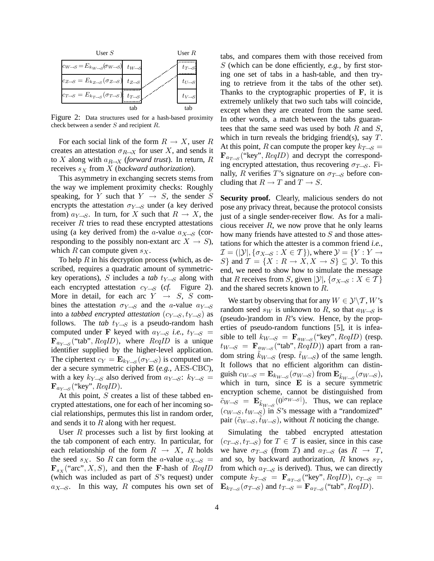

Figure 2: Data structures used for a hash-based proximity check between a sender S and recipient R.

For each social link of the form  $R \to X$ , user R creates an attestation  $\sigma_{R\rightarrow X}$  for user X, and sends it to X along with  $a_{R\rightarrow X}$  (*forward trust*). In return, R receives  $s_X$  from  $X$  (*backward authorization*).

This asymmetry in exchanging secrets stems from the way we implement proximity checks: Roughly speaking, for Y such that  $Y \rightarrow S$ , the sender S encrypts the attestation  $\sigma_{Y\rightarrow S}$  under (a key derived from)  $a_{Y\rightarrow S}$ . In turn, for X such that  $R \rightarrow X$ , the receiver  $R$  tries to read these encrypted attestations using (a key derived from) the a-value  $a_{X\rightarrow S}$  (corresponding to the possibly non-extant arc  $X \to S$ ), which R can compute given  $s_X$ .

To help  $R$  in his decryption process (which, as described, requires a quadratic amount of symmetrickey operations), S includes a *tab*  $t_{Y\rightarrow S}$  along with each encrypted attestation  $c_{Y\rightarrow S}$  (*cf.* Figure 2). More in detail, for each arc  $Y \rightarrow S$ , S combines the attestation  $\sigma_{Y\rightarrow S}$  and the *a*-value  $a_{Y\rightarrow S}$ into a *tabbed encrypted attestation*  $(c_{Y\rightarrow S}, t_{Y\rightarrow S})$  as follows. The *tab*  $t_{Y\rightarrow S}$  is a pseudo-random hash computed under F keyed with  $a_{Y\rightarrow S}$  *i.e.*,  $t_{Y\rightarrow S}$  =  $\mathbf{F}_{a_{Y\rightarrow S}}$  ("tab",  $\text{ReqID}$ ), where  $\text{ReqID}$  is a unique identifier supplied by the higher-level application. The ciphertext  $c_Y = \mathbf{E}_{k_{Y\rightarrow S}}(\sigma_{Y\rightarrow S})$  is computed under a secure symmetric cipher E (*e.g.*, AES-CBC), with a key  $k_{Y\rightarrow S}$  also derived from  $a_{Y\rightarrow S}: k_{Y\rightarrow S}$  $\mathbf{F}_{a_{Y\rightarrow S}}$  ("key",  $\text{Re}qID$ ).

At this point, S creates a list of these tabbed encrypted attestations, one for each of her incoming social relationships, permutes this list in random order, and sends it to R along with her request.

User  $R$  processes such a list by first looking at the tab component of each entry. In particular, for each relationship of the form  $R \rightarrow X$ , R holds the seed s<sub>X</sub>. So R can form the a-value  $a_{X\rightarrow S}$  =  $\mathbf{F}_{sX}$  ("arc", X, S), and then the F-hash of  $ReqID$ (which was included as part of S's request) under  $a_{X\rightarrow S}$ . In this way, R computes his own set of

tabs, and compares them with those received from S (which can be done efficiently, *e.g.,* by first storing one set of tabs in a hash-table, and then trying to retrieve from it the tabs of the other set). Thanks to the cryptographic properties of  $\mathbf{F}$ , it is extremely unlikely that two such tabs will coincide, except when they are created from the same seed. In other words, a match between the tabs guarantees that the same seed was used by both  $R$  and  $S$ , which in turn reveals the bridging friend(s), say  $T$ . At this point, R can compute the proper key  $k_{T\rightarrow S}$  =  $\mathbf{F}_{a_{T\rightarrow S}}$  ("key",  $ReqID$ ) and decrypt the corresponding encrypted attestation, thus recovering  $\sigma_{T\rightarrow S}$ . Finally, R verifies T's signature on  $\sigma_{T\rightarrow S}$  before concluding that  $R \to T$  and  $T \to S$ .

**Security proof.** Clearly, malicious senders do not pose any privacy threat, because the protocol consists just of a single sender-receiver flow. As for a malicious receiver  $R$ , we now prove that he only learns how many friends have attested to S and those attestations for which the attester is a common friend *i.e.*,  $\mathcal{I} = (|\mathcal{Y}|, {\sigma_{X\rightarrow S} : X \in \mathcal{T}})$ , where  $\mathcal{Y} = \{Y : Y \rightarrow Y\}$ S} and  $\mathcal{T} = \{X : R \to X, X \to S\} \subseteq \mathcal{Y}$ . To this end, we need to show how to simulate the message that R receives from S, given  $|\mathcal{Y}|$ ,  $\{\sigma_{X\rightarrow S} : X \in \mathcal{T}\}\$ and the shared secrets known to R.

We start by observing that for any  $W \in \mathcal{Y}\backslash \mathcal{T}$ , W's random seed s<sub>W</sub> is unknown to R, so that  $a_{W\rightarrow S}$  is (pseudo-)random in  $R$ 's view. Hence, by the properties of pseudo-random functions [5], it is infeasible to tell  $k_{W\rightarrow S} = \mathbf{F}_{a_W\rightarrow S}$  ("key",  $ReqID$ ) (resp.  $t_{W\rightarrow S}$  =  $\mathbf{F}_{a_{W\rightarrow S}}$  ("tab",  $\overrightarrow{ReqID}$ )) apart from a random string  $k_{W\rightarrow S}$  (resp.  $\tilde{t}_{W\rightarrow S}$ ) of the same length. It follows that no efficient algorithm can distinguish  $c_{W\rightarrow S} = \mathbf{E}_{k_{W\rightarrow S}}(\sigma_{W\rightarrow S})$  from  $\mathbf{E}_{\tilde{k}_{W\rightarrow S}}(\sigma_{W\rightarrow S})$ , which in turn, since  $E$  is a secure symmetric encryption scheme, cannot be distinguished from  $\tilde{c}_{W\rightarrow S} = \mathbf{E}_{\tilde{k}_{W\rightarrow S}}(0^{|\sigma_{W\rightarrow S}|})$ . Thus, we can replace  $(c_{W\rightarrow S}, t_{W\rightarrow S})$  in S's message with a "randomized" pair  $(\tilde{c}_{W\rightarrow S}, \tilde{t}_{W\rightarrow S})$ , without R noticing the change.

Simulating the tabbed encrypted attestation  $(c_{T\rightarrow S}, t_{T\rightarrow S})$  for  $T \in \mathcal{T}$  is easier, since in this case we have  $\sigma_{T\rightarrow S}$  (from *I*) and  $a_{T\rightarrow S}$  (as  $R \rightarrow T$ , and so, by backward authorization, R knows  $s_T$ , from which  $a_{\mathcal{T}\rightarrow S}$  is derived). Thus, we can directly compute  $k_{T\rightarrow S}$  =  $\mathbf{F}_{a_{T\rightarrow S}}$  ("key",  $ReqID$ ),  $c_{T\rightarrow S}$  =  $\mathbf{E}_{k_{T\rightarrow S}}(\sigma_{T\rightarrow S})$  and  $t_{T\rightarrow S} = \mathbf{F}_{a_{T\rightarrow S}}(\text{``tab''}, \text{ReqID}).$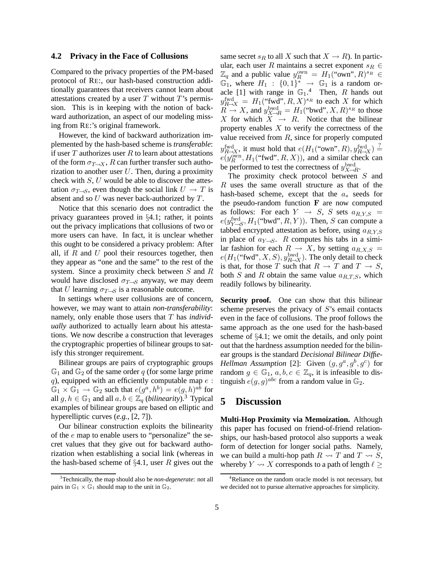#### **4.2 Privacy in the Face of Collusions**

Compared to the privacy properties of the PM-based protocol of RE:, our hash-based construction additionally guarantees that receivers cannot learn about attestations created by a user  $T$  without  $T$ 's permission. This is in keeping with the notion of backward authorization, an aspect of our modeling missing from RE:'s original framework.

However, the kind of backward authorization implemented by the hash-based scheme is *transferable*: if user  $T$  authorizes user  $R$  to learn about attestations of the form  $\sigma_{T\rightarrow X}$ , R can further transfer such authorization to another user  $U$ . Then, during a proximity check with  $S, U$  would be able to discover the attestation  $\sigma_{T\rightarrow S}$ , even though the social link  $U \rightarrow T$  is absent and so  $U$  was never back-authorized by  $T$ .

Notice that this scenario does not contradict the privacy guarantees proved in §4.1; rather, it points out the privacy implications that collusions of two or more users can have. In fact, it is unclear whether this ought to be considered a privacy problem: After all, if  $R$  and  $U$  pool their resources together, then they appear as "one and the same" to the rest of the system. Since a proximity check between S and R would have disclosed  $\sigma_{T\rightarrow S}$  anyway, we may deem that U learning  $\sigma_{T\rightarrow S}$  is a reasonable outcome.

In settings where user collusions are of concern, however, we may want to attain *non-transferability*: namely, only enable those users that T has *individually* authorized to actually learn about his attestations. We now describe a construction that leverages the cryptographic properties of bilinear groups to satisfy this stronger requirement.

Bilinear groups are pairs of cryptographic groups  $\mathbb{G}_1$  and  $\mathbb{G}_2$  of the same order q (for some large prime q), equipped with an efficiently computable map  $e$ :  $\overline{\mathbb{G}}_1 \times \overline{\mathbb{G}}_1 \to \mathbb{G}_2$  such that  $e(g^a, h^b) = e(g, h)^{ab}$  for all  $g, h \in \mathbb{G}_1$  and all  $a, b \in \mathbb{Z}_q$  (*bilinearity*).<sup>3</sup> Typical examples of bilinear groups are based on elliptic and hyperelliptic curves (*e.g.*, [2, 7]).

Our bilinear construction exploits the bilinearity of the e map to enable users to "personalize" the secret values that they give out for backward authorization when establishing a social link (whereas in the hash-based scheme of  $\S 4.1$ , user R gives out the same secret  $s_R$  to all X such that  $X \to R$ ). In particular, each user R maintains a secret exponent  $s_R \in$  $\mathbb{Z}_q$  and a public value  $y_R^{\text{own}} = H_1(\text{``own''},R)^{s_R} \in$  $\mathbb{G}_1$ , where  $H_1$  :  $\{0,1\}^* \rightarrow \mathbb{G}_1$  is a random oracle [1] with range in  $\mathbb{G}_1$ .<sup>4</sup> Then, R hands out  $y_{R\rightarrow X}^{\text{fwd}} = H_1(\text{``fwd''}, R, X)^{s_R}$  to each X for which  $R \to X$ , and  $y_{X \to R}^{\text{bwd}} = H_1(\text{``bwd''}, X, R)^{s_R}$  to those X for which  $X \rightarrow R$ . Notice that the bilinear property enables  $X$  to verify the correctness of the value received from  $R$ , since for properly computed  $y_{R\rightarrow X}^{\text{fwd}}$ , it must hold that  $e(H_1(\text{``own''}, R), y_{R\rightarrow X}^{\text{fwd}}) \stackrel{?}{=}$  $e(y_R^{\text{own}}, H_1(\text{``fwd''}, R, X))$ , and a similar check can be performed to test the correctness of  $y_{X\to R}^{\text{bwd}}$ .

The proximity check protocol between S and R uses the same overall structure as that of the hash-based scheme, except that the  $a_*$  seeds for the pseudo-random function  $\bf{F}$  are now computed as follows: For each  $Y \rightarrow S$ , S sets  $a_{R,Y,S} =$  $e(y_{Y\rightarrow S}^{\text{fwd}}, H_1(\text{``bwd''}, R, Y)).$  Then, S can compute a tabbed encrypted attestation as before, using  $a_{R,Y,S}$ in place of  $a_{Y\rightarrow S}$ . R computes his tabs in a similar fashion for each  $R \rightarrow X$ , by setting  $a_{R,X,S} =$  $e(H_1(\text{``fwd''}, X, S), y_{R\to X}^{\text{bwd}})$ . The only detail to check is that, for those T such that  $R \to T$  and  $T \to S$ , both S and R obtain the same value  $a_{R,T,S}$ , which readily follows by bilinearity.

**Security proof.** One can show that this bilinear scheme preserves the privacy of  $S$ 's email contacts even in the face of collusions. The proof follows the same approach as the one used for the hash-based scheme of §4.1; we omit the details, and only point out that the hardness assumption needed for the bilinear groups is the standard *Decisional Bilinear Diffie-Hellman Assumption* [2]: Given  $(g, g^a, g^b, g^c)$  for random  $g \in \mathbb{G}_1$ ,  $a, b, c \in \mathbb{Z}_q$ , it is infeasible to distinguish  $e(g, g)^{abc}$  from a random value in  $\mathbb{G}_2$ .

### **5 Discussion**

**Multi-Hop Proximity via Memoization.** Although this paper has focused on friend-of-friend relationships, our hash-based protocol also supports a weak form of detection for longer social paths. Namely, we can build a multi-hop path  $R \rightarrow T$  and  $T \rightarrow S$ , whereby  $Y \rightsquigarrow X$  corresponds to a path of length  $\ell >$ 

<sup>3</sup>Technically, the map should also be *non-degenerate*: not all pairs in  $\mathbb{G}_1 \times \mathbb{G}_1$  should map to the unit in  $\mathbb{G}_2$ .

<sup>&</sup>lt;sup>4</sup>Reliance on the random oracle model is not necessary, but we decided not to pursue alternative approaches for simplicity.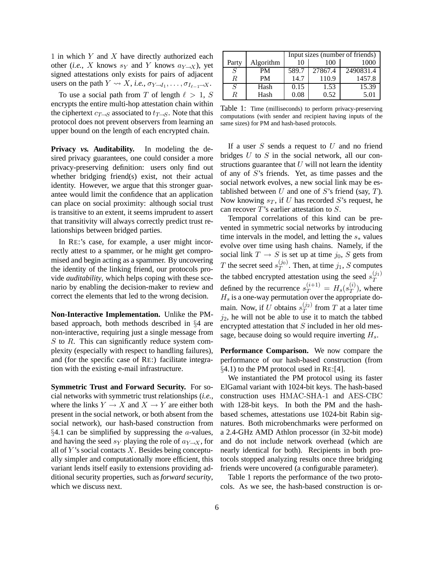1 in which  $Y$  and  $X$  have directly authorized each other (*i.e.*, X knows  $s_Y$  and Y knows  $a_{Y\rightarrow X}$ ), yet signed attestations only exists for pairs of adjacent users on the path  $Y \leadsto X$ , *i.e.*,  $\sigma_{Y \rightarrow I_1}$ , ...,  $\sigma_{I_{\ell-1} \rightarrow X}$ .

To use a social path from T of length  $\ell > 1$ , S encrypts the entire multi-hop attestation chain within the ciphertext  $c_{\mathcal{T}\rightarrow S}$  associated to  $t_{\mathcal{T}\rightarrow S}$ . Note that this protocol does not prevent observers from learning an upper bound on the length of each encrypted chain.

**Privacy** *vs.* **Auditability.** In modeling the desired privacy guarantees, one could consider a more privacy-preserving definition: users only find out whether bridging friend(s) exist, not their actual identity. However, we argue that this stronger guarantee would limit the confidence that an application can place on social proximity: although social trust is transitive to an extent, it seems imprudent to assert that transitivity will always correctly predict trust relationships between bridged parties.

In RE:'s case, for example, a user might incorrectly attest to a spammer, or he might get compromised and begin acting as a spammer. By uncovering the identity of the linking friend, our protocols provide *auditability*, which helps coping with these scenario by enabling the decision-maker to review and correct the elements that led to the wrong decision.

**Non-Interactive Implementation.** Unlike the PMbased approach, both methods described in §4 are non-interactive, requiring just a single message from  $S$  to  $R$ . This can significantly reduce system complexity (especially with respect to handling failures), and (for the specific case of RE:) facilitate integration with the existing e-mail infrastructure.

**Symmetric Trust and Forward Security.** For social networks with symmetric trust relationships (*i.e.,* where the links  $Y \to X$  and  $X \to Y$  are either both present in the social network, or both absent from the social network), our hash-based construction from  $§4.1$  can be simplified by suppressing the *a*-values, and having the seed  $s_Y$  playing the role of  $a_{Y\to X}$ , for all of Y's social contacts X. Besides being conceptually simpler and computationally more efficient, this variant lends itself easily to extensions providing additional security properties, such as *forward security*, which we discuss next.

|                |           | Input sizes (number of friends) |         |           |
|----------------|-----------|---------------------------------|---------|-----------|
| Party          | Algorithm | 10                              | 100     | 1000      |
| S              | PM        | 589.7                           | 27867.4 | 2490831.4 |
| R              | <b>PM</b> | 14.7                            | 110.9   | 1457.8    |
| $\overline{S}$ | Hash      | 0.15                            | 1.53    | 15.39     |
| R.             | Hash      | 0.08                            | 0.52    | 5.01      |

Table 1: Time (milliseconds) to perform privacy-preserving computations (with sender and recipient having inputs of the same sizes) for PM and hash-based protocols.

If a user  $S$  sends a request to  $U$  and no friend bridges  $U$  to  $S$  in the social network, all our constructions guarantee that  $U$  will not learn the identity of any of S's friends. Yet, as time passes and the social network evolves, a new social link may be established between  $U$  and one of  $S$ 's friend (say,  $T$ ). Now knowing  $s_T$ , if U has recorded S's request, he can recover T's earlier attestation to S.

Temporal correlations of this kind can be prevented in symmetric social networks by introducing time intervals in the model, and letting the  $s_*$  values evolve over time using hash chains. Namely, if the social link  $T \rightarrow S$  is set up at time  $j_0$ , S gets from T the secret seed  $s_T^{(j_0)}$  $T^{(0)}$ . Then, at time  $j_1$ , S computes the tabbed encrypted attestation using the seed  $s_T^{(j_1)}$ T defined by the recurrence  $s_T^{(i+1)} = H_s(s_T^{(i)})$  $T^{(i)}$ ), where  $H_s$  is a one-way permutation over the appropriate domain. Now, if U obtains  $s_T^{(j_2)}$  $T^{(J2)}$  from T at a later time  $j_2$ , he will not be able to use it to match the tabbed encrypted attestation that  $S$  included in her old message, because doing so would require inverting  $H_s$ .

**Performance Comparison.** We now compare the performance of our hash-based construction (from §4.1) to the PM protocol used in RE:[4].

We instantiated the PM protocol using its faster ElGamal variant with 1024-bit keys. The hash-based construction uses HMAC-SHA-1 and AES-CBC with 128-bit keys. In both the PM and the hashbased schemes, attestations use 1024-bit Rabin signatures. Both microbenchmarks were performed on a 2.4-GHz AMD Athlon processor (in 32-bit mode) and do not include network overhead (which are nearly identical for both). Recipients in both protocols stopped analyzing results once three bridging friends were uncovered (a configurable parameter).

Table 1 reports the performance of the two protocols. As we see, the hash-based construction is or